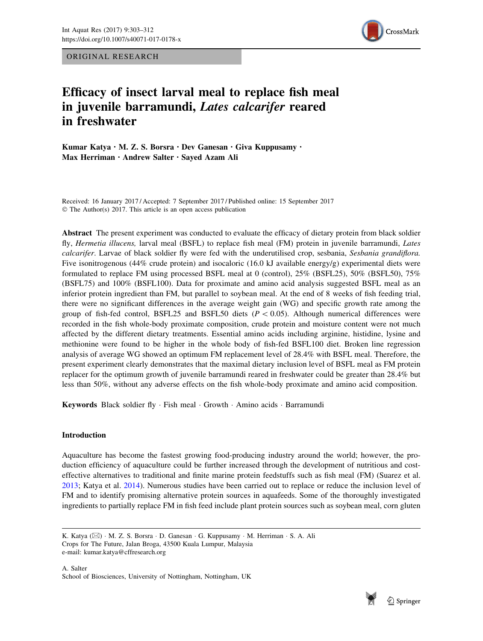ORIGINAL RESEARCH



# Efficacy of insect larval meal to replace fish meal in juvenile barramundi, Lates calcarifer reared in freshwater

Kumar Katya · M. Z. S. Borsra · Dev Ganesan · Giva Kuppusamy · Max Herriman · Andrew Salter · Sayed Azam Ali

Received: 16 January 2017 / Accepted: 7 September 2017 / Published online: 15 September 2017 © The Author(s) 2017. This article is an open access publication

Abstract The present experiment was conducted to evaluate the efficacy of dietary protein from black soldier fly, Hermetia illucens, larval meal (BSFL) to replace fish meal (FM) protein in juvenile barramundi, Lates calcarifer. Larvae of black soldier fly were fed with the underutilised crop, sesbania, Sesbania grandiflora. Five isonitrogenous (44% crude protein) and isocaloric (16.0 kJ available energy/g) experimental diets were formulated to replace FM using processed BSFL meal at 0 (control), 25% (BSFL25), 50% (BSFL50), 75% (BSFL75) and 100% (BSFL100). Data for proximate and amino acid analysis suggested BSFL meal as an inferior protein ingredient than FM, but parallel to soybean meal. At the end of 8 weeks of fish feeding trial, there were no significant differences in the average weight gain (WG) and specific growth rate among the group of fish-fed control, BSFL25 and BSFL50 diets ( $P \lt 0.05$ ). Although numerical differences were recorded in the fish whole-body proximate composition, crude protein and moisture content were not much affected by the different dietary treatments. Essential amino acids including arginine, histidine, lysine and methionine were found to be higher in the whole body of fish-fed BSFL100 diet. Broken line regression analysis of average WG showed an optimum FM replacement level of 28.4% with BSFL meal. Therefore, the present experiment clearly demonstrates that the maximal dietary inclusion level of BSFL meal as FM protein replacer for the optimum growth of juvenile barramundi reared in freshwater could be greater than 28.4% but less than 50%, without any adverse effects on the fish whole-body proximate and amino acid composition.

Keywords Black soldier fly · Fish meal · Growth · Amino acids · Barramundi

# Introduction

Aquaculture has become the fastest growing food-producing industry around the world; however, the production efficiency of aquaculture could be further increased through the development of nutritious and costeffective alternatives to traditional and finite marine protein feedstuffs such as fish meal (FM) (Suarez et al. [2013](#page-9-0); Katya et al. [2014\)](#page-8-0). Numerous studies have been carried out to replace or reduce the inclusion level of FM and to identify promising alternative protein sources in aquafeeds. Some of the thoroughly investigated ingredients to partially replace FM in fish feed include plant protein sources such as soybean meal, corn gluten



K. Katya ( $\boxtimes$ ) · M. Z. S. Borsra · D. Ganesan · G. Kuppusamy · M. Herriman · S. A. Ali Crops for The Future, Jalan Broga, 43500 Kuala Lumpur, Malaysia e-mail: kumar.katya@cffresearch.org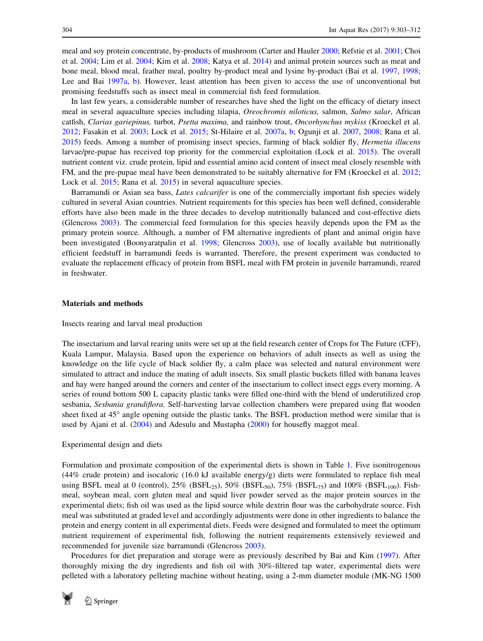meal and soy protein concentrate, by-products of mushroom (Carter and Hauler [2000](#page-8-0); Refstie et al. [2001](#page-8-0); Choi et al. [2004](#page-8-0); Lim et al. [2004](#page-8-0); Kim et al. [2008](#page-8-0); Katya et al. [2014\)](#page-8-0) and animal protein sources such as meat and bone meal, blood meal, feather meal, poultry by-product meal and lysine by-product (Bai et al. [1997](#page-8-0), [1998;](#page-8-0) Lee and Bai [1997a](#page-8-0), [b\)](#page-8-0). However, least attention has been given to access the use of unconventional but promising feedstuffs such as insect meal in commercial fish feed formulation.

In last few years, a considerable number of researches have shed the light on the efficacy of dietary insect meal in several aquaculture species including tilapia, Oreochromis niloticus, salmon, Salmo salar, African catfish, Clarias gariepinus, turbot, Psetta maxima, and rainbow trout, Oncorhynchus mykiss (Kroeckel et al. [2012](#page-8-0); Fasakin et al. [2003;](#page-8-0) Lock et al. [2015](#page-8-0); St-Hilaire et al. [2007a](#page-9-0), [b;](#page-9-0) Ogunji et al. [2007,](#page-8-0) [2008](#page-8-0); Rana et al. [2015](#page-8-0)) feeds. Among a number of promising insect species, farming of black soldier fly, Hermetia illucens larvae/pre-pupae has received top priority for the commercial exploitation (Lock et al. [2015\)](#page-8-0). The overall nutrient content viz. crude protein, lipid and essential amino acid content of insect meal closely resemble with FM, and the pre-pupae meal have been demonstrated to be suitably alternative for FM (Kroeckel et al. [2012;](#page-8-0) Lock et al. [2015](#page-8-0); Rana et al. [2015\)](#page-8-0) in several aquaculture species.

Barramundi or Asian sea bass, Lates calcarifer is one of the commercially important fish species widely cultured in several Asian countries. Nutrient requirements for this species has been well defined, considerable efforts have also been made in the three decades to develop nutritionally balanced and cost-effective diets (Glencross [2003\)](#page-8-0). The commercial feed formulation for this species heavily depends upon the FM as the primary protein source. Although, a number of FM alternative ingredients of plant and animal origin have been investigated (Boonyaratpalin et al. [1998;](#page-8-0) Glencross [2003](#page-8-0)), use of locally available but nutritionally efficient feedstuff in barramundi feeds is warranted. Therefore, the present experiment was conducted to evaluate the replacement efficacy of protein from BSFL meal with FM protein in juvenile barramundi, reared in freshwater.

## Materials and methods

Insects rearing and larval meal production

The insectarium and larval rearing units were set up at the field research center of Crops for The Future (CFF), Kuala Lumpur, Malaysia. Based upon the experience on behaviors of adult insects as well as using the knowledge on the life cycle of black soldier fly, a calm place was selected and natural environment were simulated to attract and induce the mating of adult insects. Six small plastic buckets filled with banana leaves and hay were hanged around the corners and center of the insectarium to collect insect eggs every morning. A series of round bottom 500 L capacity plastic tanks were filled one-third with the blend of underutilized crop sesbania, Sesbania grandiflora. Self-harvesting larvae collection chambers were prepared using flat wooden sheet fixed at 45<sup>°</sup> angle opening outside the plastic tanks. The BSFL production method were similar that is used by Ajani et al. [\(2004](#page-7-0)) and Adesulu and Mustapha ([2000\)](#page-7-0) for housefly maggot meal.

#### Experimental design and diets

Formulation and proximate composition of the experimental diets is shown in Table [1.](#page-2-0) Five isonitrogenous (44% crude protein) and isocaloric (16.0 kJ available energy/g) diets were formulated to replace fish meal using BSFL meal at 0 (control),  $25\%$  (BSFL<sub>25</sub>),  $50\%$  (BSFL<sub>50</sub>),  $75\%$  (BSFL<sub>75</sub>) and  $100\%$  (BSFL<sub>100</sub>). Fishmeal, soybean meal, corn gluten meal and squid liver powder served as the major protein sources in the experimental diets; fish oil was used as the lipid source while dextrin flour was the carbohydrate source. Fish meal was substituted at graded level and accordingly adjustments were done in other ingredients to balance the protein and energy content in all experimental diets. Feeds were designed and formulated to meet the optimum nutrient requirement of experimental fish, following the nutrient requirements extensively reviewed and recommended for juvenile size barramundi (Glencross [2003](#page-8-0)).

Procedures for diet preparation and storage were as previously described by Bai and Kim [\(1997](#page-8-0)). After thoroughly mixing the dry ingredients and fish oil with 30%-filtered tap water, experimental diets were pelleted with a laboratory pelleting machine without heating, using a 2-mm diameter module (MK-NG 1500

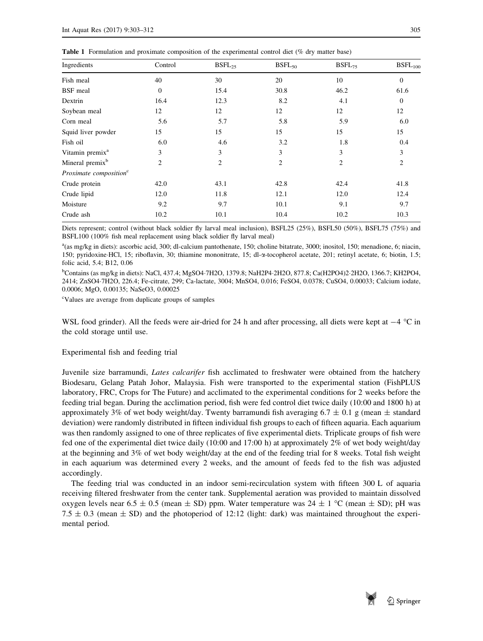<span id="page-2-0"></span>

| Ingredients                        | Control        | $BSFL_{25}$    | $BSFL_{50}$    | $BSFL_{75}$    | BSFL <sub>100</sub> |
|------------------------------------|----------------|----------------|----------------|----------------|---------------------|
| Fish meal                          | 40             | 30             | 20             | 10             | $\Omega$            |
| <b>BSF</b> meal                    | $\mathbf{0}$   | 15.4           | 30.8           | 46.2           | 61.6                |
| Dextrin                            | 16.4           | 12.3           | 8.2            | 4.1            | $\Omega$            |
| Soybean meal                       | 12             | 12             | 12             | 12             | 12                  |
| Corn meal                          | 5.6            | 5.7            | 5.8            | 5.9            | 6.0                 |
| Squid liver powder                 | 15             | 15             | 15             | 15             | 15                  |
| Fish oil                           | 6.0            | 4.6            | 3.2            | 1.8            | 0.4                 |
| Vitamin premix <sup>a</sup>        | 3              | 3              | 3              | 3              | 3                   |
| Mineral premix <sup>b</sup>        | $\overline{2}$ | $\overline{2}$ | $\overline{c}$ | $\overline{2}$ | 2                   |
| Proximate composition <sup>c</sup> |                |                |                |                |                     |
| Crude protein                      | 42.0           | 43.1           | 42.8           | 42.4           | 41.8                |
| Crude lipid                        | 12.0           | 11.8           | 12.1           | 12.0           | 12.4                |
| Moisture                           | 9.2            | 9.7            | 10.1           | 9.1            | 9.7                 |
| Crude ash                          | 10.2           | 10.1           | 10.4           | 10.2           | 10.3                |

Diets represent; control (without black soldier fly larval meal inclusion), BSFL25 (25%), BSFL50 (50%), BSFL75 (75%) and BSFL100 (100% fish meal replacement using black soldier fly larval meal)

a(as mg/kg in diets): ascorbic acid, 300; dl-calcium pantothenate, 150; choline bitatrate, 3000; inositol, 150; menadione, 6; niacin, 150; pyridoxine-HCl, 15; riboflavin, 30; thiamine mononitrate, 15; dl-a-tocopherol acetate, 201; retinyl acetate, 6; biotin, 1.5; folic acid, 5.4; B12, 0.06

<sup>b</sup>Contains (as mg/kg in diets): NaCl, 437.4; MgSO4·7H2O, 1379.8; NaH2P4·2H2O, 877.8; Ca(H2PO4)2·2H2O, 1366.7; KH2PO4, 2414; ZnSO4-7H2O, 226.4; Fe-citrate, 299; Ca-lactate, 3004; MnSO4, 0.016; FeSO4, 0.0378; CuSO4, 0.00033; Calcium iodate, 0.0006; MgO, 0.00135; NaSeO3, 0.00025

<sup>c</sup>Values are average from duplicate groups of samples

WSL food grinder). All the feeds were air-dried for 24 h and after processing, all diets were kept at  $-4$  °C in the cold storage until use.

## Experimental fish and feeding trial

Juvenile size barramundi, *Lates calcarifer* fish acclimated to freshwater were obtained from the hatchery Biodesaru, Gelang Patah Johor, Malaysia. Fish were transported to the experimental station (FishPLUS laboratory, FRC, Crops for The Future) and acclimated to the experimental conditions for 2 weeks before the feeding trial began. During the acclimation period, fish were fed control diet twice daily (10:00 and 1800 h) at approximately 3% of wet body weight/day. Twenty barramundi fish averaging 6.7  $\pm$  0.1 g (mean  $\pm$  standard deviation) were randomly distributed in fifteen individual fish groups to each of fifteen aquaria. Each aquarium was then randomly assigned to one of three replicates of five experimental diets. Triplicate groups of fish were fed one of the experimental diet twice daily (10:00 and 17:00 h) at approximately 2% of wet body weight/day at the beginning and 3% of wet body weight/day at the end of the feeding trial for 8 weeks. Total fish weight in each aquarium was determined every 2 weeks, and the amount of feeds fed to the fish was adjusted accordingly.

The feeding trial was conducted in an indoor semi-recirculation system with fifteen 300 L of aquaria receiving filtered freshwater from the center tank. Supplemental aeration was provided to maintain dissolved oxygen levels near 6.5  $\pm$  0.5 (mean  $\pm$  SD) ppm. Water temperature was 24  $\pm$  1 °C (mean  $\pm$  SD); pH was 7.5  $\pm$  0.3 (mean  $\pm$  SD) and the photoperiod of 12:12 (light: dark) was maintained throughout the experimental period.

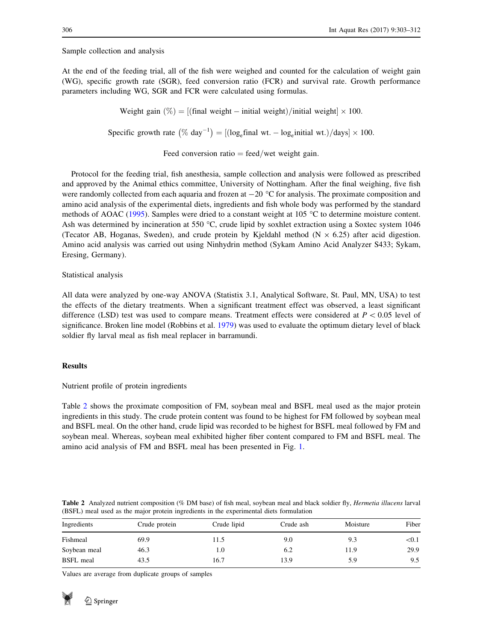<span id="page-3-0"></span>Sample collection and analysis

At the end of the feeding trial, all of the fish were weighed and counted for the calculation of weight gain (WG), specific growth rate (SGR), feed conversion ratio (FCR) and survival rate. Growth performance parameters including WG, SGR and FCR were calculated using formulas.

Weight gain  $(\%) = |(\text{final weight} - \text{initial weight}) / \text{initial weight}] \times 100.$ 

Specific growth rate  $(\% \text{ day}^{-1}) = [(\log_e \text{final wt.} - \log_e \text{initial wt.})/\text{days}] \times 100$ .

Feed conversion ratio  $=$  feed/wet weight gain.

Protocol for the feeding trial, fish anesthesia, sample collection and analysis were followed as prescribed and approved by the Animal ethics committee, University of Nottingham. After the final weighing, five fish were randomly collected from each aquaria and frozen at  $-20$  °C for analysis. The proximate composition and amino acid analysis of the experimental diets, ingredients and fish whole body was performed by the standard methods of AOAC ([1995\)](#page-7-0). Samples were dried to a constant weight at 105  $^{\circ}$ C to determine moisture content. Ash was determined by incineration at 550  $^{\circ}$ C, crude lipid by soxhlet extraction using a Soxtec system 1046 (Tecator AB, Hoganas, Sweden), and crude protein by Kjeldahl method ( $N \times 6.25$ ) after acid digestion. Amino acid analysis was carried out using Ninhydrin method (Sykam Amino Acid Analyzer S433; Sykam, Eresing, Germany).

Statistical analysis

All data were analyzed by one-way ANOVA (Statistix 3.1, Analytical Software, St. Paul, MN, USA) to test the effects of the dietary treatments. When a significant treatment effect was observed, a least significant difference (LSD) test was used to compare means. Treatment effects were considered at  $P < 0.05$  level of significance. Broken line model (Robbins et al. [1979](#page-8-0)) was used to evaluate the optimum dietary level of black soldier fly larval meal as fish meal replacer in barramundi.

## Results

Nutrient profile of protein ingredients

Table 2 shows the proximate composition of FM, soybean meal and BSFL meal used as the major protein ingredients in this study. The crude protein content was found to be highest for FM followed by soybean meal and BSFL meal. On the other hand, crude lipid was recorded to be highest for BSFL meal followed by FM and soybean meal. Whereas, soybean meal exhibited higher fiber content compared to FM and BSFL meal. The amino acid analysis of FM and BSFL meal has been presented in Fig. [1](#page-4-0).

|                                                                                         |  | <b>Table 2</b> Analyzed nutrient composition (% DM base) of fish meal, soybean meal and black soldier fly, <i>Hermetia illucens</i> larval |  |  |
|-----------------------------------------------------------------------------------------|--|--------------------------------------------------------------------------------------------------------------------------------------------|--|--|
| (BSFL) meal used as the major protein ingredients in the experimental diets formulation |  |                                                                                                                                            |  |  |

| Ingredients      | Crude protein | Crude lipid | Crude ash | Moisture | Fiber |
|------------------|---------------|-------------|-----------|----------|-------|
| Fishmeal         | 69.9          | 11.5        | 9.0       | 9.3      | < 0.1 |
| Soybean meal     | 46.3          | 1.0         | 6.2       | 11.9     | 29.9  |
| <b>BSFL</b> meal | 43.5          | 16.7        | 13.9      | 5.9      | 9.5   |

Values are average from duplicate groups of samples

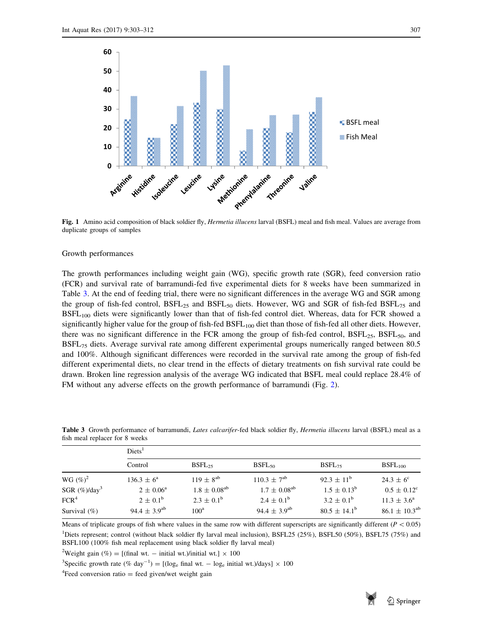<span id="page-4-0"></span>

Fig. 1 Amino acid composition of black soldier fly, Hermetia illucens larval (BSFL) meal and fish meal. Values are average from duplicate groups of samples

### Growth performances

The growth performances including weight gain (WG), specific growth rate (SGR), feed conversion ratio (FCR) and survival rate of barramundi-fed five experimental diets for 8 weeks have been summarized in Table 3. At the end of feeding trial, there were no significant differences in the average WG and SGR among the group of fish-fed control,  $BSFL_{25}$  and  $BSFL_{50}$  diets. However, WG and SGR of fish-fed  $BSFL_{75}$  and BSFL100 diets were significantly lower than that of fish-fed control diet. Whereas, data for FCR showed a significantly higher value for the group of fish-fed  $BSFL_{100}$  diet than those of fish-fed all other diets. However, there was no significant difference in the FCR among the group of fish-fed control,  $BSFL_{25}$ ,  $BSFL_{50}$ , and BSFL75 diets. Average survival rate among different experimental groups numerically ranged between 80.5 and 100%. Although significant differences were recorded in the survival rate among the group of fish-fed different experimental diets, no clear trend in the effects of dietary treatments on fish survival rate could be drawn. Broken line regression analysis of the average WG indicated that BSFL meal could replace 28.4% of FM without any adverse effects on the growth performance of barramundi (Fig. [2\)](#page-5-0).

|                              | Diets <sup>1</sup>           |                       |                              |                         |                        |  |  |
|------------------------------|------------------------------|-----------------------|------------------------------|-------------------------|------------------------|--|--|
|                              | Control                      | $BSFL_{25}$           | $BSFL_{50}$                  | $BSFL_{75}$             | BSFL <sub>100</sub>    |  |  |
| WG $(\%)^2$                  | $136.3 \pm 6^a$              | $119 \pm 8^{ab}$      | $110.3 \pm 7^{ab}$           | $92.3 \pm 11^{6}$       | $24.3 \pm 6^{\circ}$   |  |  |
| SGR $(\%)$ /day <sup>3</sup> | $2 \pm 0.06^{\circ}$         | $1.8 \pm 0.08^{ab}$   | $1.7 \pm 0.08$ <sup>ab</sup> | $1.5 \pm 0.13^b$        | $0.5 \pm 0.12^{\circ}$ |  |  |
| FCR <sup>4</sup>             | $2 \pm 0.1^{\rm b}$          | $2.3 \pm 0.1^{\rm b}$ | $2.4 \pm 0.1^{\rm b}$        | $3.2 \pm 0.1^{\rm b}$   | $11.3 \pm 3.6^{\circ}$ |  |  |
| Survival $(\% )$             | 94.4 $\pm$ 3.9 <sup>ab</sup> | 100 <sup>a</sup>      | $94.4 \pm 3.9^{ab}$          | $80.5 \pm 14.1^{\rm b}$ | $86.1 \pm 10.3^{ab}$   |  |  |

Table 3 Growth performance of barramundi, Lates calcarifer-fed black soldier fly, Hermetia illucens larval (BSFL) meal as a fish meal replacer for 8 weeks

Means of triplicate groups of fish where values in the same row with different superscripts are significantly different ( $P < 0.05$ ) <sup>1</sup>Diets represent; control (without black soldier fly larval meal inclusion), BSFL25 (25%), BSFL50 (50%), BSFL75 (75%) and BSFL100 (100% fish meal replacement using black soldier fly larval meal)

<sup>2</sup>Weight gain (%) = [(final wt. – initial wt.)/initial wt.]  $\times$  100

<sup>3</sup>Specific growth rate (% day<sup>-1</sup>) = [(log<sub>e</sub> final wt. - log<sub>e</sub> initial wt.)/days] × 100

 ${}^{4}$ Feed conversion ratio = feed given/wet weight gain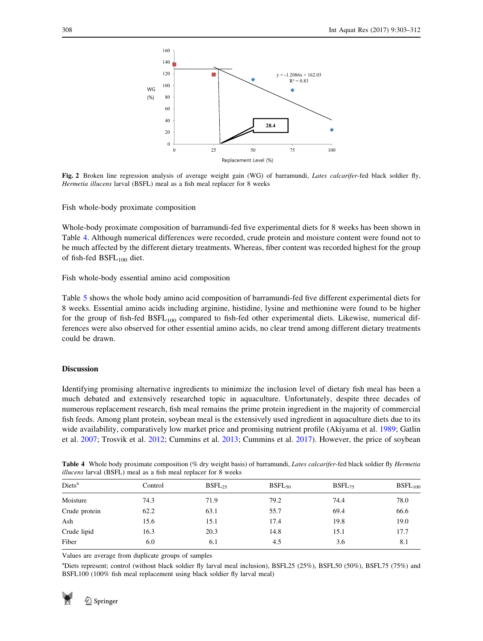

Fig. 2 Broken line regression analysis of average weight gain (WG) of barramundi, Lates calcarifer-fed black soldier fly, Hermetia illucens larval (BSFL) meal as a fish meal replacer for 8 weeks

Fish whole-body proximate composition

Whole-body proximate composition of barramundi-fed five experimental diets for 8 weeks has been shown in Table 4. Although numerical differences were recorded, crude protein and moisture content were found not to be much affected by the different dietary treatments. Whereas, fiber content was recorded highest for the group of fish-fed  $BSFL<sub>100</sub>$  diet.

Fish whole-body essential amino acid composition

Table [5](#page-6-0) shows the whole body amino acid composition of barramundi-fed five different experimental diets for 8 weeks. Essential amino acids including arginine, histidine, lysine and methionine were found to be higher for the group of fish-fed BSFL<sub>100</sub> compared to fish-fed other experimental diets. Likewise, numerical differences were also observed for other essential amino acids, no clear trend among different dietary treatments could be drawn.

# Discussion

Identifying promising alternative ingredients to minimize the inclusion level of dietary fish meal has been a much debated and extensively researched topic in aquaculture. Unfortunately, despite three decades of numerous replacement research, fish meal remains the prime protein ingredient in the majority of commercial fish feeds. Among plant protein, soybean meal is the extensively used ingredient in aquaculture diets due to its wide availability, comparatively low market price and promising nutrient profile (Akiyama et al. [1989](#page-7-0); Gatlin et al. [2007;](#page-8-0) Trosvik et al. [2012;](#page-9-0) Cummins et al. [2013](#page-8-0); Cummins et al. [2017](#page-8-0)). However, the price of soybean

Table 4 Whole body proximate composition (% dry weight basis) of barramundi, Lates calcarifer-fed black soldier fly Hermetia illucens larval (BSFL) meal as a fish meal replacer for 8 weeks

| Diets <sup>a</sup> | Control | $BSFL_{25}$ | $BSFL_{50}$ | $BSFL_{75}$ | BSFL <sub>100</sub> |
|--------------------|---------|-------------|-------------|-------------|---------------------|
| Moisture           | 74.3    | 71.9        | 79.2        | 74.4        | 78.0                |
| Crude protein      | 62.2    | 63.1        | 55.7        | 69.4        | 66.6                |
| Ash                | 15.6    | 15.1        | 17.4        | 19.8        | 19.0                |
| Crude lipid        | 16.3    | 20.3        | 14.8        | 15.1        | 17.7                |
| Fiber              | 6.0     | 6.1         | 4.5         | 3.6         | 8.1                 |
|                    |         |             |             |             |                     |

Values are average from duplicate groups of samples

apiets represent; control (without black soldier fly larval meal inclusion), BSFL25 (25%), BSFL50 (50%), BSFL75 (75%) and BSFL100 (100% fish meal replacement using black soldier fly larval meal)

<span id="page-5-0"></span>

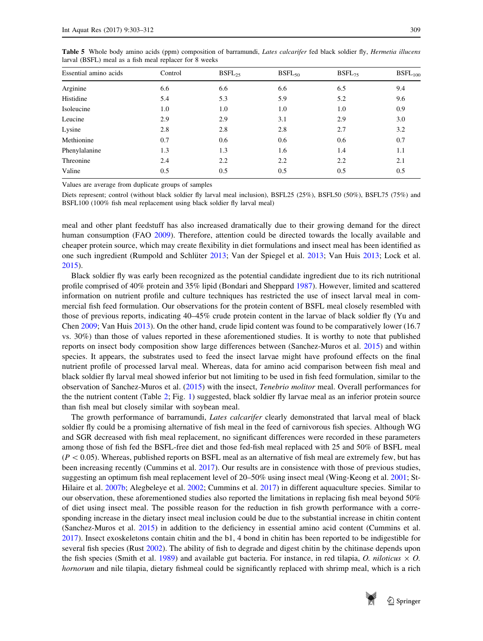| Essential amino acids | Control | $BSFL_{25}$ | $BSFL_{50}$ | $BSFL_{75}$ | BSFL <sub>100</sub> |
|-----------------------|---------|-------------|-------------|-------------|---------------------|
| Arginine              | 6.6     | 6.6         | 6.6         | 6.5         | 9.4                 |
| Histidine             | 5.4     | 5.3         | 5.9         | 5.2         | 9.6                 |
| Isoleucine            | 1.0     | 1.0         | 1.0         | 1.0         | 0.9                 |
| Leucine               | 2.9     | 2.9         | 3.1         | 2.9         | 3.0                 |
| Lysine                | 2.8     | 2.8         | 2.8         | 2.7         | 3.2                 |
| Methionine            | 0.7     | 0.6         | 0.6         | 0.6         | 0.7                 |
| Phenylalanine         | 1.3     | 1.3         | 1.6         | 1.4         | 1.1                 |
| Threonine             | 2.4     | 2.2         | 2.2         | 2.2         | 2.1                 |
| Valine                | 0.5     | 0.5         | 0.5         | 0.5         | 0.5                 |

<span id="page-6-0"></span>Table 5 Whole body amino acids (ppm) composition of barramundi, Lates calcarifer fed black soldier fly, Hermetia illucens larval (BSFL) meal as a fish meal replacer for 8 weeks

Values are average from duplicate groups of samples

Diets represent; control (without black soldier fly larval meal inclusion), BSFL25 (25%), BSFL50 (50%), BSFL75 (75%) and BSFL100 (100% fish meal replacement using black soldier fly larval meal)

meal and other plant feedstuff has also increased dramatically due to their growing demand for the direct human consumption (FAO [2009](#page-8-0)). Therefore, attention could be directed towards the locally available and cheaper protein source, which may create flexibility in diet formulations and insect meal has been identified as one such ingredient (Rumpold and Schlüter [2013](#page-9-0); Van der Spiegel et al. [2013;](#page-9-0) Van Huis 2013; Lock et al. [2015](#page-8-0)).

Black soldier fly was early been recognized as the potential candidate ingredient due to its rich nutritional profile comprised of 40% protein and 35% lipid (Bondari and Sheppard [1987](#page-8-0)). However, limited and scattered information on nutrient profile and culture techniques has restricted the use of insect larval meal in commercial fish feed formulation. Our observations for the protein content of BSFL meal closely resembled with those of previous reports, indicating 40–45% crude protein content in the larvae of black soldier fly (Yu and Chen [2009](#page-9-0); Van Huis [2013](#page-9-0)). On the other hand, crude lipid content was found to be comparatively lower (16.7 vs. 30%) than those of values reported in these aforementioned studies. It is worthy to note that published reports on insect body composition show large differences between (Sanchez-Muros et al. [2015\)](#page-8-0) and within species. It appears, the substrates used to feed the insect larvae might have profound effects on the final nutrient profile of processed larval meal. Whereas, data for amino acid comparison between fish meal and black soldier fly larval meal showed inferior but not limiting to be used in fish feed formulation, similar to the observation of Sanchez-Muros et al. [\(2015](#page-8-0)) with the insect, Tenebrio molitor meal. Overall performances for the the nutrient content (Table [2](#page-3-0); Fig. [1](#page-4-0)) suggested, black soldier fly larvae meal as an inferior protein source than fish meal but closely similar with soybean meal.

The growth performance of barramundi, Lates calcarifer clearly demonstrated that larval meal of black soldier fly could be a promising alternative of fish meal in the feed of carnivorous fish species. Although WG and SGR decreased with fish meal replacement, no significant differences were recorded in these parameters among those of fish fed the BSFL-free diet and those fed-fish meal replaced with 25 and 50% of BSFL meal  $(P<0.05)$ . Whereas, published reports on BSFL meal as an alternative of fish meal are extremely few, but has been increasing recently (Cummins et al. [2017](#page-8-0)). Our results are in consistence with those of previous studies, suggesting an optimum fish meal replacement level of 20–50% using insect meal (Wing-Keong et al. [2001;](#page-9-0) St-Hilaire et al. [2007b;](#page-9-0) Alegbeleye et al. [2002](#page-7-0); Cummins et al. [2017](#page-8-0)) in different aquaculture species. Similar to our observation, these aforementioned studies also reported the limitations in replacing fish meal beyond 50% of diet using insect meal. The possible reason for the reduction in fish growth performance with a corresponding increase in the dietary insect meal inclusion could be due to the substantial increase in chitin content (Sanchez-Muros et al. [2015\)](#page-8-0) in addition to the deficiency in essential amino acid content (Cummins et al. [2017](#page-8-0)). Insect exoskeletons contain chitin and the b1, 4 bond in chitin has been reported to be indigestible for several fish species (Rust [2002](#page-8-0)). The ability of fish to degrade and digest chitin by the chitinase depends upon the fish species (Smith et al. [1989\)](#page-9-0) and available gut bacteria. For instance, in red tilapia, O. niloticus  $\times$  O. hornorum and nile tilapia, dietary fishmeal could be significantly replaced with shrimp meal, which is a rich

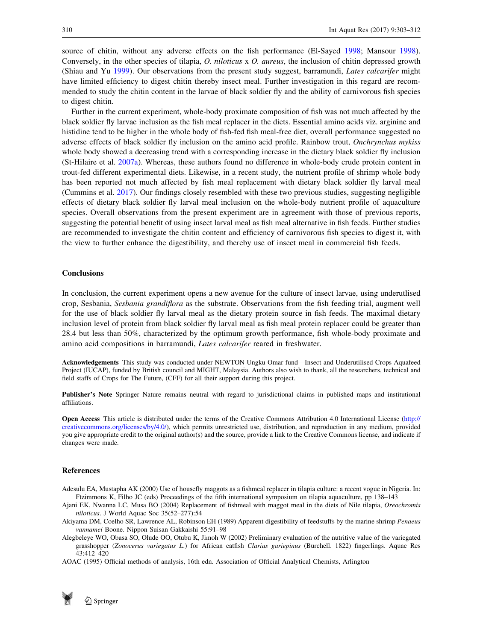<span id="page-7-0"></span>source of chitin, without any adverse effects on the fish performance (El-Sayed [1998;](#page-8-0) Mansour [1998\)](#page-8-0). Conversely, in the other species of tilapia, O. niloticus x O. aureus, the inclusion of chitin depressed growth (Shiau and Yu [1999\)](#page-9-0). Our observations from the present study suggest, barramundi, Lates calcarifer might have limited efficiency to digest chitin thereby insect meal. Further investigation in this regard are recommended to study the chitin content in the larvae of black soldier fly and the ability of carnivorous fish species to digest chitin.

Further in the current experiment, whole-body proximate composition of fish was not much affected by the black soldier fly larvae inclusion as the fish meal replacer in the diets. Essential amino acids viz. arginine and histidine tend to be higher in the whole body of fish-fed fish meal-free diet, overall performance suggested no adverse effects of black soldier fly inclusion on the amino acid profile. Rainbow trout, Onchrynchus mykiss whole body showed a decreasing trend with a corresponding increase in the dietary black soldier fly inclusion (St-Hilaire et al. [2007a](#page-9-0)). Whereas, these authors found no difference in whole-body crude protein content in trout-fed different experimental diets. Likewise, in a recent study, the nutrient profile of shrimp whole body has been reported not much affected by fish meal replacement with dietary black soldier fly larval meal (Cummins et al. [2017](#page-8-0)). Our findings closely resembled with these two previous studies, suggesting negligible effects of dietary black soldier fly larval meal inclusion on the whole-body nutrient profile of aquaculture species. Overall observations from the present experiment are in agreement with those of previous reports, suggesting the potential benefit of using insect larval meal as fish meal alternative in fish feeds. Further studies are recommended to investigate the chitin content and efficiency of carnivorous fish species to digest it, with the view to further enhance the digestibility, and thereby use of insect meal in commercial fish feeds.

## **Conclusions**

In conclusion, the current experiment opens a new avenue for the culture of insect larvae, using underutlised crop, Sesbania, Sesbania grandiflora as the substrate. Observations from the fish feeding trial, augment well for the use of black soldier fly larval meal as the dietary protein source in fish feeds. The maximal dietary inclusion level of protein from black soldier fly larval meal as fish meal protein replacer could be greater than 28.4 but less than 50%, characterized by the optimum growth performance, fish whole-body proximate and amino acid compositions in barramundi, Lates calcarifer reared in freshwater.

Acknowledgements This study was conducted under NEWTON Ungku Omar fund—Insect and Underutilised Crops Aquafeed Project (IUCAP), funded by British council and MIGHT, Malaysia. Authors also wish to thank, all the researchers, technical and field staffs of Crops for The Future, (CFF) for all their support during this project.

Publisher's Note Springer Nature remains neutral with regard to jurisdictional claims in published maps and institutional affiliations.

Open Access This article is distributed under the terms of the Creative Commons Attribution 4.0 International License [\(http://](http://creativecommons.org/licenses/by/4.0/) [creativecommons.org/licenses/by/4.0/](http://creativecommons.org/licenses/by/4.0/)), which permits unrestricted use, distribution, and reproduction in any medium, provided you give appropriate credit to the original author(s) and the source, provide a link to the Creative Commons license, and indicate if changes were made.

#### References

- Adesulu EA, Mustapha AK (2000) Use of housefly maggots as a fishmeal replacer in tilapia culture: a recent vogue in Nigeria. In: Ftzimmons K, Filho JC (eds) Proceedings of the fifth international symposium on tilapia aquaculture, pp 138–143
- Ajani EK, Nwanna LC, Musa BO (2004) Replacement of fishmeal with maggot meal in the diets of Nile tilapia, Oreochromis niloticus. J World Aquac Soc 35(52–277):54
- Akiyama DM, Coelho SR, Lawrence AL, Robinson EH (1989) Apparent digestibility of feedstuffs by the marine shrimp Penaeus vannamei Boone. Nippon Suisan Gakkaishi 55:91–98
- Alegbeleye WO, Obasa SO, Olude OO, Otubu K, Jimoh W (2002) Preliminary evaluation of the nutritive value of the variegated grasshopper (Zonocerus variegatus L.) for African catfish Clarias gariepinus (Burchell. 1822) fingerlings. Aquac Res 43:412–420
- AOAC (1995) Official methods of analysis, 16th edn. Association of Official Analytical Chemists, Arlington

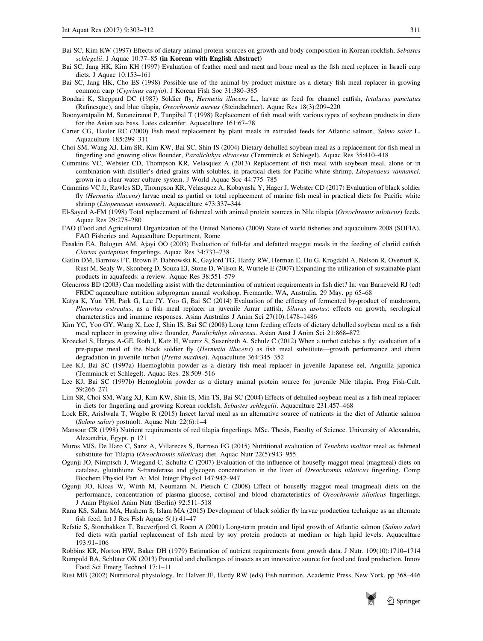- <span id="page-8-0"></span>Bai SC, Kim KW (1997) Effects of dietary animal protein sources on growth and body composition in Korean rockfish, Sebastes schlegelii. J Aquac 10:77–85 (in Korean with English Abstract)
- Bai SC, Jang HK, Kim KH (1997) Evaluation of feather meal and meat and bone meal as the fish meal replacer in Israeli carp diets. J Aquac 10:153–161
- Bai SC, Jang HK, Cho ES (1998) Possible use of the animal by-product mixture as a dietary fish meal replacer in growing common carp (Cyprinus carpio). J Korean Fish Soc 31:380–385
- Bondari K, Sheppard DC (1987) Soldier fly, *Hermetia illucens* L., larvae as feed for channel catfish, *Ictalurus punctatus* (Rafinesque), and blue tilapia, Oreochromis aureus (Steindachner). Aquac Res 18(3):209–220
- Boonyaratpalin M, Suraneiranat P, Tunpibal T (1998) Replacement of fish meal with various types of soybean products in diets for the Asian sea bass, Lates calcarifer. Aquaculture 161:67–78
- Carter CG, Hauler RC (2000) Fish meal replacement by plant meals in extruded feeds for Atlantic salmon, Salmo salar L. Aquaculture 185:299–311
- Choi SM, Wang XJ, Lim SR, Kim KW, Bai SC, Shin IS (2004) Dietary dehulled soybean meal as a replacement for fish meal in fingerling and growing olive flounder, Paralichthys olivaceus (Temminck et Schlegel). Aquac Res 35:410–418
- Cummins VC, Webster CD, Thompson KR, Velasquez A (2013) Replacement of fish meal with soybean meal, alone or in combination with distiller's dried grains with solubles, in practical diets for Pacific white shrimp, Litopenaeus vannamei, grown in a clear-water culture system. J World Aquac Soc 44:775–785
- Cummins VC Jr, Rawles SD, Thompson KR, Velasquez A, Kobayashi Y, Hager J, Webster CD (2017) Evaluation of black soldier fly (Hermetia illucens) larvae meal as partial or total replacement of marine fish meal in practical diets for Pacific white shrimp (Litopenaeus vannamei). Aquaculture 473:337–344
- El-Sayed A-FM (1998) Total replacement of fishmeal with animal protein sources in Nile tilapia (Oreochromis niloticus) feeds. Aquac Res 29:275–280
- FAO (Food and Agricultural Organization of the United Nations) (2009) State of world fisheries and aquaculture 2008 (SOFIA). FAO Fisheries and Aquaculture Department, Rome
- Fasakin EA, Balogun AM, Ajayi OO (2003) Evaluation of full-fat and defatted maggot meals in the feeding of clariid catfish Clarias gariepinus fingerlings. Aquac Res 34:733–738
- Gatlin DM, Barrows FT, Brown P, Dabrowski K, Gaylord TG, Hardy RW, Herman E, Hu G, Krogdahl A, Nelson R, Overturf K, Rust M, Sealy W, Skonberg D, Souza EJ, Stone D, Wilson R, Wurtele E (2007) Expanding the utilization of sustainable plant products in aquafeeds: a review. Aquac Res 38:551–579
- Glencross BD (2003) Can modelling assist with the determination of nutrient requirements in fish diet? In: van Barneveld RJ (ed) FRDC aquaculture nutrition subprogram annual workshop, Fremantle, WA, Australia. 29 May. pp 65–68
- Katya K, Yun YH, Park G, Lee JY, Yoo G, Bai SC (2014) Evaluation of the efficacy of fermented by-product of mushroom, Pleurotus ostreatus, as a fish meal replacer in juvenile Amur catfish, Silurus asotus: effects on growth, serological characteristics and immune responses. Asian Australas J Anim Sci 27(10):1478–1486
- Kim YC, Yoo GY, Wang X, Lee J, Shin IS, Bai SC (2008) Long term feeding effects of dietary dehulled soybean meal as a fish meal replacer in growing olive flounder, Paralichthys olivaceus. Asian Aust J Anim Sci 21:868–872
- Kroeckel S, Harjes A-GE, Roth I, Katz H, Wuertz S, Susenbeth A, Schulz C (2012) When a turbot catches a fly: evaluation of a pre-pupae meal of the black soldier fly (Hermetia illucens) as fish meal substitute—growth performance and chitin degradation in juvenile turbot (Psetta maxima). Aquaculture 364:345–352
- Lee KJ, Bai SC (1997a) Haemoglobin powder as a dietary fish meal replacer in juvenile Japanese eel, Anguilla japonica (Temminck et Schlegel). Aquac Res. 28:509–516
- Lee KJ, Bai SC (1997b) Hemoglobin powder as a dietary animal protein source for juvenile Nile tilapia. Prog Fish-Cult. 59:266–271
- Lim SR, Choi SM, Wang XJ, Kim KW, Shin IS, Min TS, Bai SC (2004) Effects of dehulled soybean meal as a fish meal replacer in diets for fingerling and growing Korean rockfish, Sebastes schlegelii. Aquaculture 231:457–468
- Lock ER, ArisIwala T, Wagbo R (2015) Insect larval meal as an alternative source of nutrients in the diet of Atlantic salmon (Salmo salar) postmolt. Aquac Nutr 22(6):1–4
- Mansour CR (1998) Nutrient requirements of red tilapia fingerlings. MSc. Thesis, Faculty of Science. University of Alexandria, Alexandria, Egypt, p 121
- Muros MJS, De Haro C, Sanz A, Villareces S, Barroso FG (2015) Nutritional evaluation of Tenebrio molitor meal as fishmeal substitute for Tilapia (Oreochromis niloticus) diet. Aquac Nutr 22(5):943–955
- Ogunji JO, Nimptsch J, Wiegand C, Schultz C (2007) Evaluation of the influence of housefly maggot meal (magmeal) diets on catalase, glutathione S-transferase and glycogen concentration in the liver of Oreochromis niloticus fingerling. Comp Biochem Physiol Part A: Mol Integr Physiol 147:942–947
- Ogunji JO, Kloas W, Wirth M, Neumann N, Pietsch C (2008) Effect of housefly maggot meal (magmeal) diets on the performance, concentration of plasma glucose, cortisol and blood characteristics of Oreochromis niloticus fingerlings. J Anim Physiol Anim Nutr (Berlin) 92:511–518
- Rana KS, Salam MA, Hashem S, Islam MA (2015) Development of black soldier fly larvae production technique as an alternate fish feed. Int J Res Fish Aquac 5(1):41–47
- Refstie S, Storebakken T, Baeverfjord G, Roem A (2001) Long-term protein and lipid growth of Atlantic salmon (Salmo salar) fed diets with partial replacement of fish meal by soy protein products at medium or high lipid levels. Aquaculture 193:91–106

Robbins KR, Norton HW, Baker DH (1979) Estimation of nutrient requirements from growth data. J Nutr. 109(10):1710–1714

- Rumpold BA, Schlüter OK (2013) Potential and challenges of insects as an innovative source for food and feed production. Innov Food Sci Emerg Technol 17:1–11
- Rust MB (2002) Nutritional physiology. In: Halver JE, Hardy RW (eds) Fish nutrition. Academic Press, New York, pp 368–446